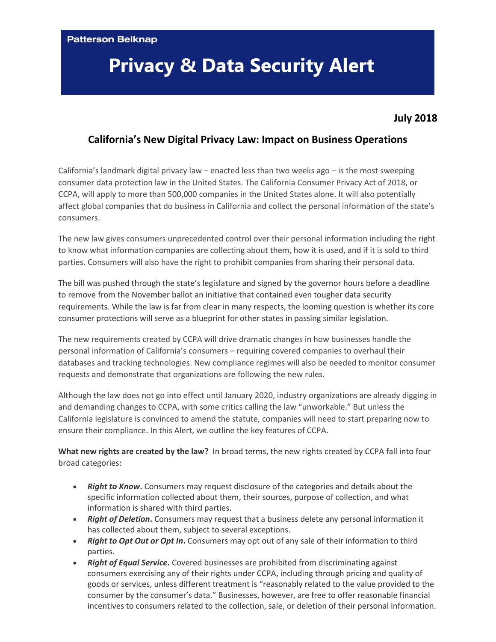**Patterson Belknap** 

## **Privacy & Data Security Alert**

## **July 2018**

## **California's New Digital Privacy Law: Impact on Business Operations**

California's landmark digital privacy law – enacted less than two weeks ago – is the most sweeping consumer data protection law in the United States. The California Consumer Privacy Act of 2018, or CCPA, will apply to more than 500,000 companies in the United States alone. It will also potentially affect global companies that do business in California and collect the personal information of the state's consumers.

The new law gives consumers unprecedented control over their personal information including the right to know what information companies are collecting about them, how it is used, and if it is sold to third parties. Consumers will also have the right to prohibit companies from sharing their personal data.

The bill was pushed through the state's legislature and signed by the governor hours before a deadline to remove from the November ballot an initiative that contained even tougher data security requirements. While the law is far from clear in many respects, the looming question is whether its core consumer protections will serve as a blueprint for other states in passing similar legislation.

The new requirements created by CCPA will drive dramatic changes in how businesses handle the personal information of California's consumers – requiring covered companies to overhaul their databases and tracking technologies. New compliance regimes will also be needed to monitor consumer requests and demonstrate that organizations are following the new rules.

Although the law does not go into effect until January 2020, industry organizations are already digging in and demanding changes to CCPA, with some critics calling the law "unworkable." But unless the California legislature is convinced to amend the statute, companies will need to start preparing now to ensure their compliance. In this Alert, we outline the key features of CCPA.

**What new rights are created by the law?** In broad terms, the new rights created by CCPA fall into four broad categories:

- *Right to Know***.** Consumers may request disclosure of the categories and details about the specific information collected about them, their sources, purpose of collection, and what information is shared with third parties.
- *Right of Deletion***.** Consumers may request that a business delete any personal information it has collected about them, subject to several exceptions.
- *Right to Opt Out or Opt In***.** Consumers may opt out of any sale of their information to third parties.
- *Right of Equal Service***.** Covered businesses are prohibited from discriminating against consumers exercising any of their rights under CCPA, including through pricing and quality of goods or services, unless different treatment is "reasonably related to the value provided to the consumer by the consumer's data." Businesses, however, are free to offer reasonable financial incentives to consumers related to the collection, sale, or deletion of their personal information.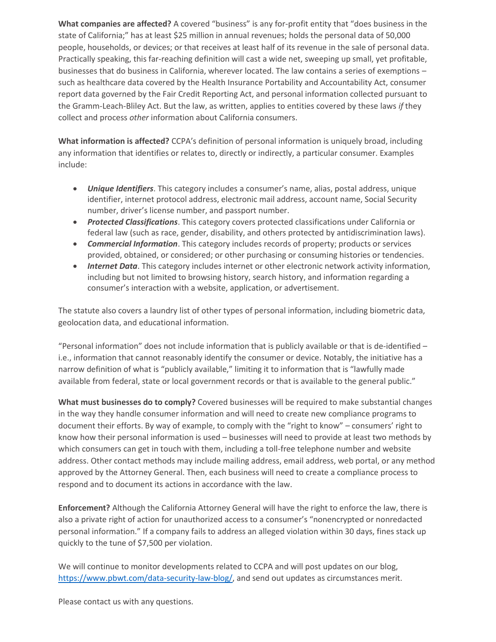**What companies are affected?** A covered "business" is any for-profit entity that "does business in the state of California;" has at least \$25 million in annual revenues; holds the personal data of 50,000 people, households, or devices; or that receives at least half of its revenue in the sale of personal data. Practically speaking, this far-reaching definition will cast a wide net, sweeping up small, yet profitable, businesses that do business in California, wherever located. The law contains a series of exemptions – such as healthcare data covered by the Health Insurance Portability and Accountability Act, consumer report data governed by the Fair Credit Reporting Act, and personal information collected pursuant to the Gramm-Leach-Bliley Act. But the law, as written, applies to entities covered by these laws *if* they collect and process *other* information about California consumers.

**What information is affected?** CCPA's definition of personal information is uniquely broad, including any information that identifies or relates to, directly or indirectly, a particular consumer. Examples include:

- *Unique Identifiers*. This category includes a consumer's name, alias, postal address, unique identifier, internet protocol address, electronic mail address, account name, Social Security number, driver's license number, and passport number.
- *Protected Classifications*. This category covers protected classifications under California or federal law (such as race, gender, disability, and others protected by antidiscrimination laws).
- *Commercial Information*. This category includes records of property; products or services provided, obtained, or considered; or other purchasing or consuming histories or tendencies.
- *Internet Data*. This category includes internet or other electronic network activity information, including but not limited to browsing history, search history, and information regarding a consumer's interaction with a website, application, or advertisement.

The statute also covers a laundry list of other types of personal information, including biometric data, geolocation data, and educational information.

"Personal information" does not include information that is publicly available or that is de-identified  $$ i.e., information that cannot reasonably identify the consumer or device. Notably, the initiative has a narrow definition of what is "publicly available," limiting it to information that is "lawfully made available from federal, state or local government records or that is available to the general public."

**What must businesses do to comply?** Covered businesses will be required to make substantial changes in the way they handle consumer information and will need to create new compliance programs to document their efforts. By way of example, to comply with the "right to know" – consumers' right to know how their personal information is used – businesses will need to provide at least two methods by which consumers can get in touch with them, including a toll-free telephone number and website address. Other contact methods may include mailing address, email address, web portal, or any method approved by the Attorney General. Then, each business will need to create a compliance process to respond and to document its actions in accordance with the law.

**Enforcement?** Although the California Attorney General will have the right to enforce the law, there is also a private right of action for unauthorized access to a consumer's "nonencrypted or nonredacted personal information." If a company fails to address an alleged violation within 30 days, fines stack up quickly to the tune of \$7,500 per violation.

We will continue to monitor developments related to CCPA and will post updates on our blog, [https://www.pbwt.com/data-security-law-blog/,](https://www.pbwt.com/data-security-law-blog/) and send out updates as circumstances merit.

Please contact us with any questions.